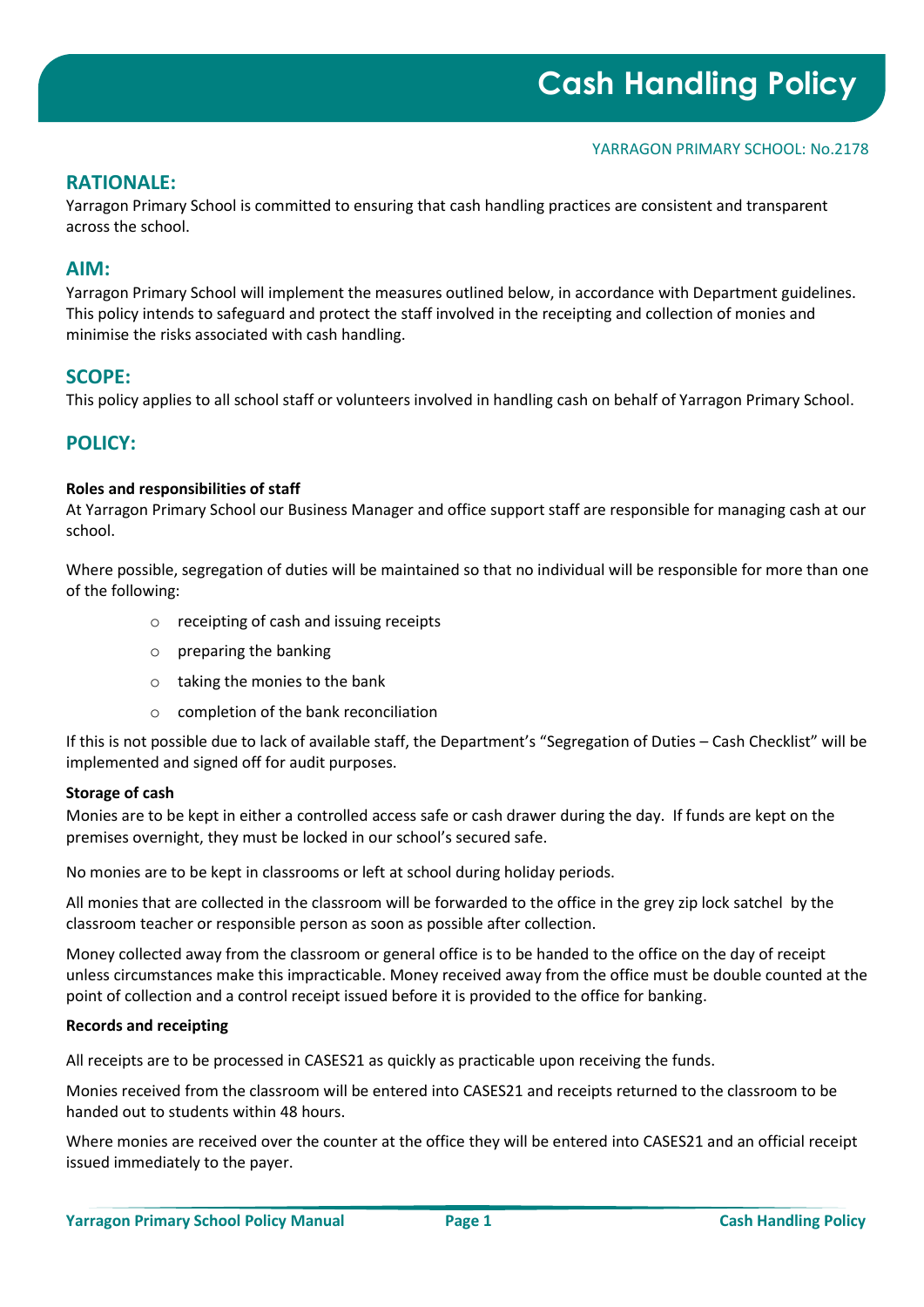### YARRAGON PRIMARY SCHOOL: No.2178

# **RATIONALE:**

Yarragon Primary School is committed to ensuring that cash handling practices are consistent and transparent across the school.

# **AIM:**

Yarragon Primary School will implement the measures outlined below, in accordance with Department guidelines. This policy intends to safeguard and protect the staff involved in the receipting and collection of monies and minimise the risks associated with cash handling.

# **SCOPE:**

This policy applies to all school staff or volunteers involved in handling cash on behalf of Yarragon Primary School.

# **POLICY:**

### **Roles and responsibilities of staff**

At Yarragon Primary School our Business Manager and office support staff are responsible for managing cash at our school.

Where possible, segregation of duties will be maintained so that no individual will be responsible for more than one of the following:

- o receipting of cash and issuing receipts
- o preparing the banking
- o taking the monies to the bank
- o completion of the bank reconciliation

If this is not possible due to lack of available staff, the Department's "Segregation of Duties – Cash Checklist" will be implemented and signed off for audit purposes.

#### **Storage of cash**

Monies are to be kept in either a controlled access safe or cash drawer during the day. If funds are kept on the premises overnight, they must be locked in our school's secured safe.

No monies are to be kept in classrooms or left at school during holiday periods.

All monies that are collected in the classroom will be forwarded to the office in the grey zip lock satchel by the classroom teacher or responsible person as soon as possible after collection.

Money collected away from the classroom or general office is to be handed to the office on the day of receipt unless circumstances make this impracticable. Money received away from the office must be double counted at the point of collection and a control receipt issued before it is provided to the office for banking.

#### **Records and receipting**

All receipts are to be processed in CASES21 as quickly as practicable upon receiving the funds.

Monies received from the classroom will be entered into CASES21 and receipts returned to the classroom to be handed out to students within 48 hours.

Where monies are received over the counter at the office they will be entered into CASES21 and an official receipt issued immediately to the payer.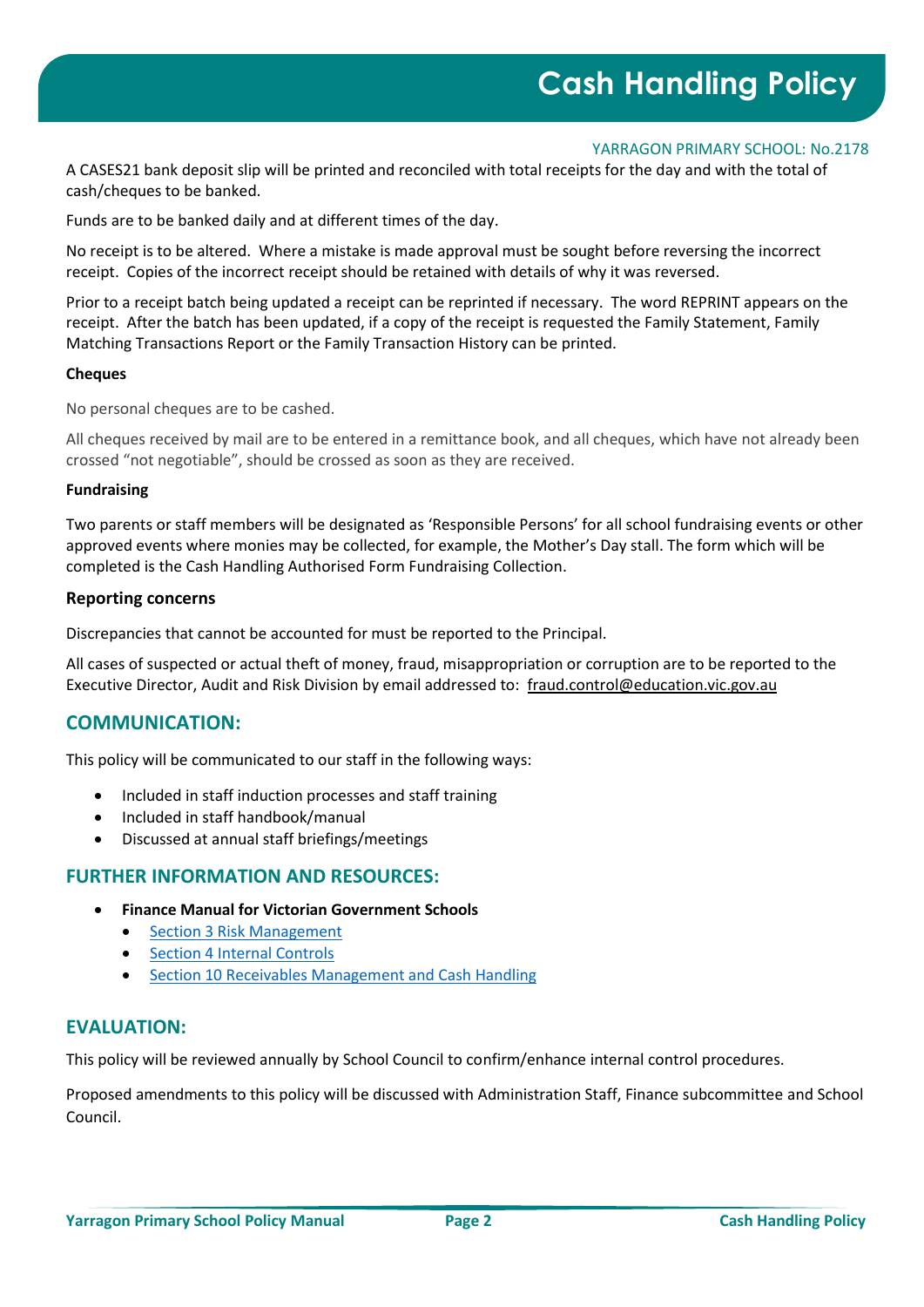#### YARRAGON PRIMARY SCHOOL: No.2178

A CASES21 bank deposit slip will be printed and reconciled with total receipts for the day and with the total of cash/cheques to be banked.

Funds are to be banked daily and at different times of the day.

No receipt is to be altered. Where a mistake is made approval must be sought before reversing the incorrect receipt. Copies of the incorrect receipt should be retained with details of why it was reversed.

Prior to a receipt batch being updated a receipt can be reprinted if necessary. The word REPRINT appears on the receipt. After the batch has been updated, if a copy of the receipt is requested the Family Statement, Family Matching Transactions Report or the Family Transaction History can be printed.

#### **Cheques**

No personal cheques are to be cashed.

All cheques received by mail are to be entered in a remittance book, and all cheques, which have not already been crossed "not negotiable", should be crossed as soon as they are received.

### **Fundraising**

Two parents or staff members will be designated as 'Responsible Persons' for all school fundraising events or other approved events where monies may be collected, for example, the Mother's Day stall. The form which will be completed is the Cash Handling Authorised Form Fundraising Collection.

### **Reporting concerns**

Discrepancies that cannot be accounted for must be reported to the Principal.

All cases of suspected or actual theft of money, fraud, misappropriation or corruption are to be reported to the Executive Director, Audit and Risk Division by email addressed to: [fraud.control@education.vic.gov.au](mailto:fraud.control@education.vic.gov.au)

# **COMMUNICATION:**

This policy will be communicated to our staff in the following ways:

- Included in staff induction processes and staff training
- Included in staff handbook/manual
- Discussed at annual staff briefings/meetings

## **FURTHER INFORMATION AND RESOURCES:**

- **Finance Manual for Victorian Government Schools** 
	- [Section 3 Risk Management](https://www2.education.vic.gov.au/pal/risk-management-finance-manual-section-3/policy)
	- [Section 4 Internal Controls](https://www2.education.vic.gov.au/pal/internal-controls-finance-manual-section-4/policy)
	- [Section 10 Receivables Management and Cash Handling](https://www2.education.vic.gov.au/pal/receivables-management-and-cash-handling-finance-manual-section-10/policy)

# **EVALUATION:**

This policy will be reviewed annually by School Council to confirm/enhance internal control procedures.

Proposed amendments to this policy will be discussed with Administration Staff, Finance subcommittee and School Council.